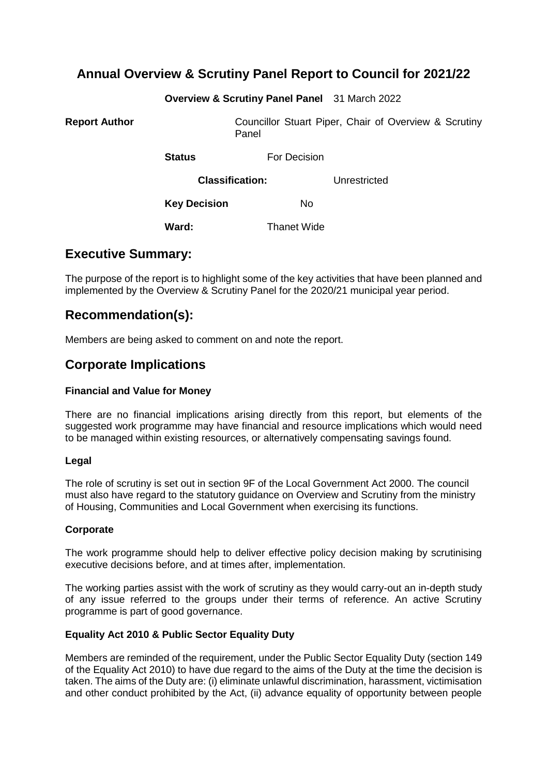## **Annual Overview & Scrutiny Panel Report to Council for 2021/22**

**Overview & Scrutiny Panel Panel** 31 March 2022

**Report Author Councillor Stuart Piper, Chair of Overview & Scrutiny** Panel

**Status For Decision** 

**Classification:** Unrestricted

**Key Decision** No

Ward: Thanet Wide

## **Executive Summary:**

The purpose of the report is to highlight some of the key activities that have been planned and implemented by the Overview & Scrutiny Panel for the 2020/21 municipal year period.

## **Recommendation(s):**

Members are being asked to comment on and note the report.

## **Corporate Implications**

### **Financial and Value for Money**

There are no financial implications arising directly from this report, but elements of the suggested work programme may have financial and resource implications which would need to be managed within existing resources, or alternatively compensating savings found.

### **Legal**

The role of scrutiny is set out in section 9F of the Local Government Act 2000. The council must also have regard to the statutory guidance on Overview and Scrutiny from the ministry of Housing, Communities and Local Government when exercising its functions.

### **Corporate**

The work programme should help to deliver effective policy decision making by scrutinising executive decisions before, and at times after, implementation.

The working parties assist with the work of scrutiny as they would carry-out an in-depth study of any issue referred to the groups under their terms of reference. An active Scrutiny programme is part of good governance.

### **Equality Act 2010 & Public Sector Equality Duty**

Members are reminded of the requirement, under the Public Sector Equality Duty (section 149 of the Equality Act 2010) to have due regard to the aims of the Duty at the time the decision is taken. The aims of the Duty are: (i) eliminate unlawful discrimination, harassment, victimisation and other conduct prohibited by the Act, (ii) advance equality of opportunity between people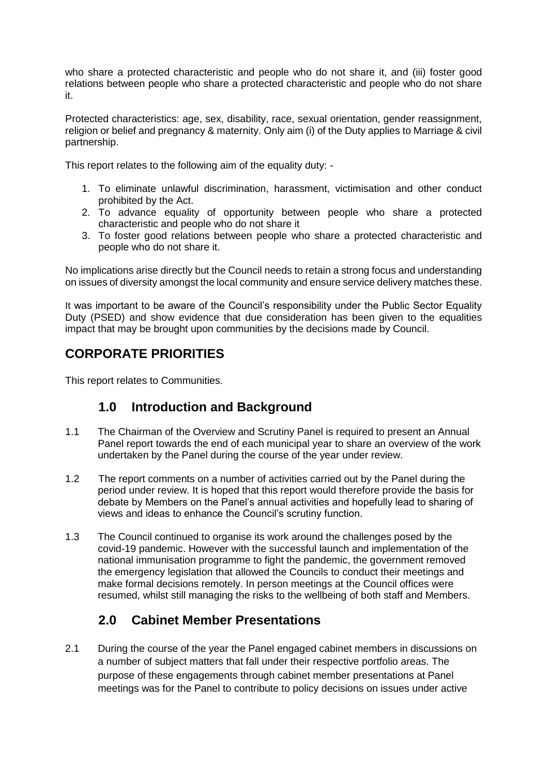who share a protected characteristic and people who do not share it, and (iii) foster good relations between people who share a protected characteristic and people who do not share it.

Protected characteristics: age, sex, disability, race, sexual orientation, gender reassignment, religion or belief and pregnancy & maternity. Only aim (i) of the Duty applies to Marriage & civil partnership.

This report relates to the following aim of the equality duty: -

- 1. To eliminate unlawful discrimination, harassment, victimisation and other conduct prohibited by the Act.
- 2. To advance equality of opportunity between people who share a protected characteristic and people who do not share it
- 3. To foster good relations between people who share a protected characteristic and people who do not share it.

No implications arise directly but the Council needs to retain a strong focus and understanding on issues of diversity amongst the local community and ensure service delivery matches these.

It was important to be aware of the Council's responsibility under the Public Sector Equality Duty (PSED) and show evidence that due consideration has been given to the equalities impact that may be brought upon communities by the decisions made by Council.

# **CORPORATE PRIORITIES**

This report relates to Communities.

# **1.0 Introduction and Background**

- 1.1 The Chairman of the Overview and Scrutiny Panel is required to present an Annual Panel report towards the end of each municipal year to share an overview of the work undertaken by the Panel during the course of the year under review.
- 1.2 The report comments on a number of activities carried out by the Panel during the period under review. It is hoped that this report would therefore provide the basis for debate by Members on the Panel's annual activities and hopefully lead to sharing of views and ideas to enhance the Council's scrutiny function.
- 1.3 The Council continued to organise its work around the challenges posed by the covid-19 pandemic. However with the successful launch and implementation of the national immunisation programme to fight the pandemic, the government removed the emergency legislation that allowed the Councils to conduct their meetings and make formal decisions remotely. In person meetings at the Council offices were resumed, whilst still managing the risks to the wellbeing of both staff and Members.

# **2.0 Cabinet Member Presentations**

2.1 During the course of the year the Panel engaged cabinet members in discussions on a number of subject matters that fall under their respective portfolio areas. The purpose of these engagements through cabinet member presentations at Panel meetings was for the Panel to contribute to policy decisions on issues under active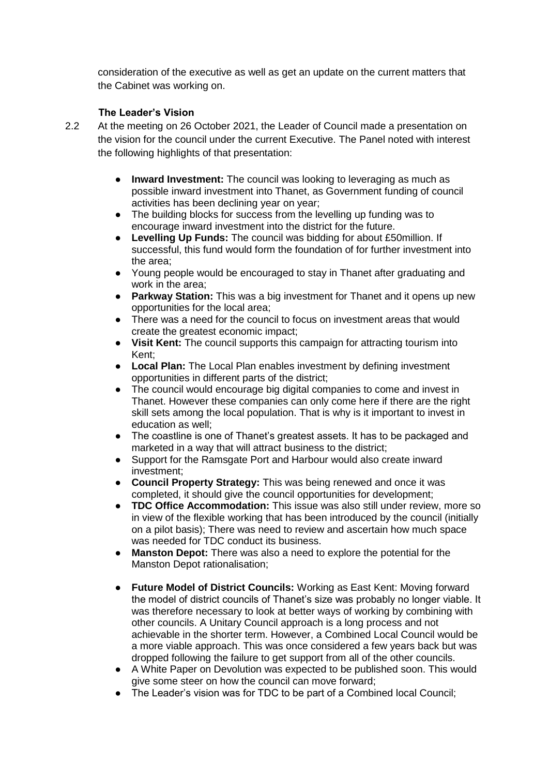consideration of the executive as well as get an update on the current matters that the Cabinet was working on.

## **The Leader's Vision**

- 2.2 At the meeting on 26 October 2021, the Leader of Council made a presentation on the vision for the council under the current Executive. The Panel noted with interest the following highlights of that presentation:
	- **Inward Investment:** The council was looking to leveraging as much as possible inward investment into Thanet, as Government funding of council activities has been declining year on year;
	- The building blocks for success from the levelling up funding was to encourage inward investment into the district for the future.
	- **Levelling Up Funds:** The council was bidding for about £50million. If successful, this fund would form the foundation of for further investment into the area;
	- Young people would be encouraged to stay in Thanet after graduating and work in the area;
	- **Parkway Station:** This was a big investment for Thanet and it opens up new opportunities for the local area;
	- There was a need for the council to focus on investment areas that would create the greatest economic impact;
	- **Visit Kent:** The council supports this campaign for attracting tourism into Kent;
	- **Local Plan:** The Local Plan enables investment by defining investment opportunities in different parts of the district;
	- The council would encourage big digital companies to come and invest in Thanet. However these companies can only come here if there are the right skill sets among the local population. That is why is it important to invest in education as well;
	- The coastline is one of Thanet's greatest assets. It has to be packaged and marketed in a way that will attract business to the district;
	- Support for the Ramsgate Port and Harbour would also create inward investment;
	- **Council Property Strategy:** This was being renewed and once it was completed, it should give the council opportunities for development;
	- **TDC Office Accommodation:** This issue was also still under review, more so in view of the flexible working that has been introduced by the council (initially on a pilot basis); There was need to review and ascertain how much space was needed for TDC conduct its business.
	- **Manston Depot:** There was also a need to explore the potential for the Manston Depot rationalisation;
	- **Future Model of District Councils:** Working as East Kent: Moving forward the model of district councils of Thanet's size was probably no longer viable. It was therefore necessary to look at better ways of working by combining with other councils. A Unitary Council approach is a long process and not achievable in the shorter term. However, a Combined Local Council would be a more viable approach. This was once considered a few years back but was dropped following the failure to get support from all of the other councils.
	- A White Paper on Devolution was expected to be published soon. This would give some steer on how the council can move forward;
	- The Leader's vision was for TDC to be part of a Combined local Council;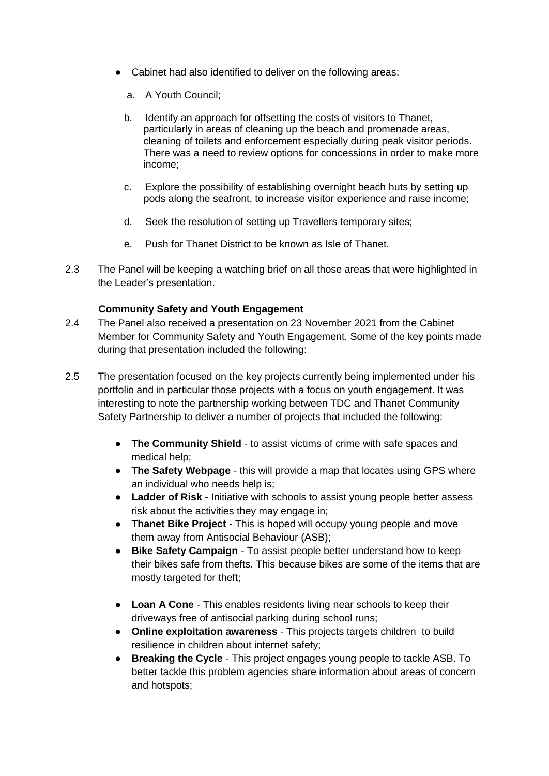- Cabinet had also identified to deliver on the following areas:
	- a. A Youth Council;
	- b. Identify an approach for offsetting the costs of visitors to Thanet, particularly in areas of cleaning up the beach and promenade areas, cleaning of toilets and enforcement especially during peak visitor periods. There was a need to review options for concessions in order to make more income;
	- c. Explore the possibility of establishing overnight beach huts by setting up pods along the seafront, to increase visitor experience and raise income;
	- d. Seek the resolution of setting up Travellers temporary sites;
	- e. Push for Thanet District to be known as Isle of Thanet.
- 2.3 The Panel will be keeping a watching brief on all those areas that were highlighted in the Leader's presentation.

## **Community Safety and Youth Engagement**

- 2.4 The Panel also received a presentation on 23 November 2021 from the Cabinet Member for Community Safety and Youth Engagement. Some of the key points made during that presentation included the following:
- 2.5 The presentation focused on the key projects currently being implemented under his portfolio and in particular those projects with a focus on youth engagement. It was interesting to note the partnership working between TDC and Thanet Community Safety Partnership to deliver a number of projects that included the following:
	- **The Community Shield** to assist victims of crime with safe spaces and medical help;
	- **The Safety Webpage** this will provide a map that locates using GPS where an individual who needs help is;
	- **Ladder of Risk** Initiative with schools to assist young people better assess risk about the activities they may engage in;
	- **Thanet Bike Project** This is hoped will occupy young people and move them away from Antisocial Behaviour (ASB);
	- **Bike Safety Campaign** To assist people better understand how to keep their bikes safe from thefts. This because bikes are some of the items that are mostly targeted for theft;
	- **Loan A Cone** This enables residents living near schools to keep their driveways free of antisocial parking during school runs;
	- **Online exploitation awareness** This projects targets children to build resilience in children about internet safety;
	- **Breaking the Cycle** This project engages young people to tackle ASB. To better tackle this problem agencies share information about areas of concern and hotspots;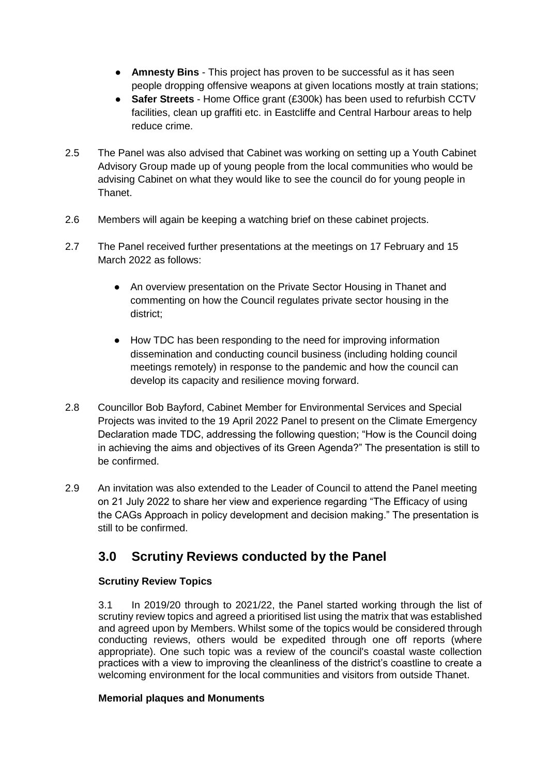- **Amnesty Bins** This project has proven to be successful as it has seen people dropping offensive weapons at given locations mostly at train stations;
- **Safer Streets** Home Office grant (£300k) has been used to refurbish CCTV facilities, clean up graffiti etc. in Eastcliffe and Central Harbour areas to help reduce crime.
- 2.5 The Panel was also advised that Cabinet was working on setting up a Youth Cabinet Advisory Group made up of young people from the local communities who would be advising Cabinet on what they would like to see the council do for young people in **Thanet**
- 2.6 Members will again be keeping a watching brief on these cabinet projects.
- 2.7 The Panel received further presentations at the meetings on 17 February and 15 March 2022 as follows:
	- An overview presentation on the Private Sector Housing in Thanet and commenting on how the Council regulates private sector housing in the district;
	- How TDC has been responding to the need for improving information dissemination and conducting council business (including holding council meetings remotely) in response to the pandemic and how the council can develop its capacity and resilience moving forward.
- 2.8 Councillor Bob Bayford, Cabinet Member for Environmental Services and Special Projects was invited to the 19 April 2022 Panel to present on the Climate Emergency Declaration made TDC, addressing the following question; "How is the Council doing in achieving the aims and objectives of its Green Agenda?" The presentation is still to be confirmed.
- 2.9 An invitation was also extended to the Leader of Council to attend the Panel meeting on 21 July 2022 to share her view and experience regarding "The Efficacy of using the CAGs Approach in policy development and decision making." The presentation is still to be confirmed.

# **3.0 Scrutiny Reviews conducted by the Panel**

## **Scrutiny Review Topics**

3.1 In 2019/20 through to 2021/22, the Panel started working through the list of scrutiny review topics and agreed a prioritised list using the matrix that was established and agreed upon by Members. Whilst some of the topics would be considered through conducting reviews, others would be expedited through one off reports (where appropriate). One such topic was a review of the council's coastal waste collection practices with a view to improving the cleanliness of the district's coastline to create a welcoming environment for the local communities and visitors from outside Thanet.

## **Memorial plaques and Monuments**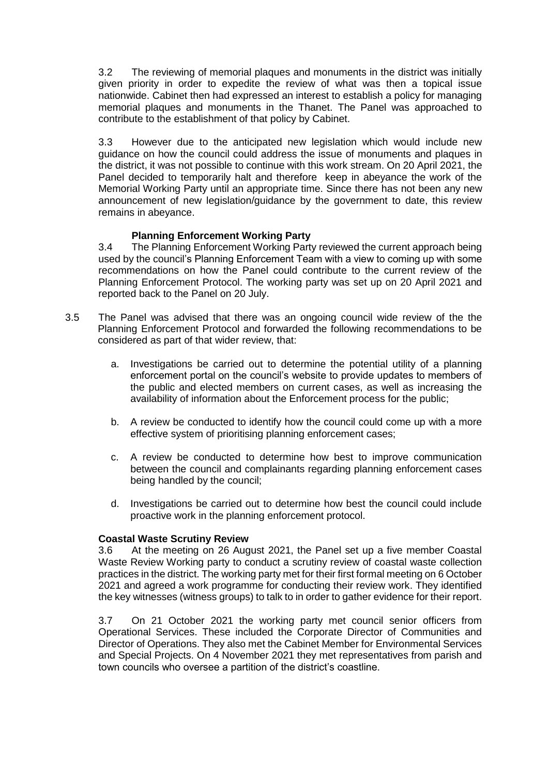3.2 The reviewing of memorial plaques and monuments in the district was initially given priority in order to expedite the review of what was then a topical issue nationwide. Cabinet then had expressed an interest to establish a policy for managing memorial plaques and monuments in the Thanet. The Panel was approached to contribute to the establishment of that policy by Cabinet.

3.3 However due to the anticipated new legislation which would include new guidance on how the council could address the issue of monuments and plaques in the district, it was not possible to continue with this work stream. On 20 April 2021, the Panel decided to temporarily halt and therefore keep in abeyance the work of the Memorial Working Party until an appropriate time. Since there has not been any new announcement of new legislation/guidance by the government to date, this review remains in abeyance.

## **Planning Enforcement Working Party**

3.4 The Planning Enforcement Working Party reviewed the current approach being used by the council's Planning Enforcement Team with a view to coming up with some recommendations on how the Panel could contribute to the current review of the Planning Enforcement Protocol. The working party was set up on 20 April 2021 and reported back to the Panel on 20 July.

- 3.5 The Panel was advised that there was an ongoing council wide review of the the Planning Enforcement Protocol and forwarded the following recommendations to be considered as part of that wider review, that:
	- a. Investigations be carried out to determine the potential utility of a planning enforcement portal on the council's website to provide updates to members of the public and elected members on current cases, as well as increasing the availability of information about the Enforcement process for the public;
	- b. A review be conducted to identify how the council could come up with a more effective system of prioritising planning enforcement cases;
	- c. A review be conducted to determine how best to improve communication between the council and complainants regarding planning enforcement cases being handled by the council;
	- d. Investigations be carried out to determine how best the council could include proactive work in the planning enforcement protocol.

### **Coastal Waste Scrutiny Review**

3.6 At the meeting on 26 August 2021, the Panel set up a five member Coastal Waste Review Working party to conduct a scrutiny review of coastal waste collection practices in the district. The working party met for their first formal meeting on 6 October 2021 and agreed a work programme for conducting their review work. They identified the key witnesses (witness groups) to talk to in order to gather evidence for their report.

3.7 On 21 October 2021 the working party met council senior officers from Operational Services. These included the Corporate Director of Communities and Director of Operations. They also met the Cabinet Member for Environmental Services and Special Projects. On 4 November 2021 they met representatives from parish and town councils who oversee a partition of the district's coastline.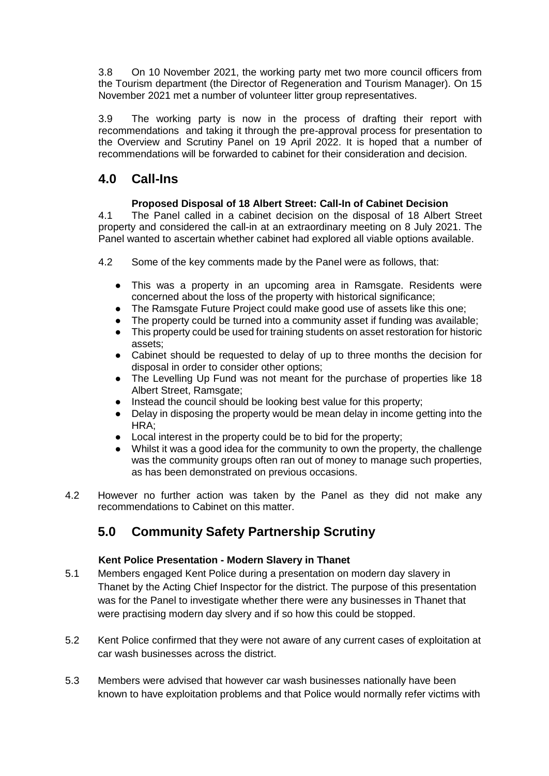3.8 On 10 November 2021, the working party met two more council officers from the Tourism department (the Director of Regeneration and Tourism Manager). On 15 November 2021 met a number of volunteer litter group representatives.

3.9 The working party is now in the process of drafting their report with recommendations and taking it through the pre-approval process for presentation to the Overview and Scrutiny Panel on 19 April 2022. It is hoped that a number of recommendations will be forwarded to cabinet for their consideration and decision.

# **4.0 Call-Ins**

## **Proposed Disposal of 18 Albert Street: Call-In of Cabinet Decision**

4.1 The Panel called in a cabinet decision on the disposal of 18 Albert Street property and considered the call-in at an extraordinary meeting on 8 July 2021. The Panel wanted to ascertain whether cabinet had explored all viable options available.

- 4.2 Some of the key comments made by the Panel were as follows, that:
	- This was a property in an upcoming area in Ramsgate. Residents were concerned about the loss of the property with historical significance;
	- The Ramsgate Future Project could make good use of assets like this one;
	- The property could be turned into a community asset if funding was available;
	- This property could be used for training students on asset restoration for historic assets;
	- Cabinet should be requested to delay of up to three months the decision for disposal in order to consider other options;
	- The Levelling Up Fund was not meant for the purchase of properties like 18 Albert Street, Ramsgate:
	- Instead the council should be looking best value for this property;
	- Delay in disposing the property would be mean delay in income getting into the HRA;
	- Local interest in the property could be to bid for the property;
	- Whilst it was a good idea for the community to own the property, the challenge was the community groups often ran out of money to manage such properties, as has been demonstrated on previous occasions.
- 4.2 However no further action was taken by the Panel as they did not make any recommendations to Cabinet on this matter.

# **5.0 Community Safety Partnership Scrutiny**

## **Kent Police Presentation - Modern Slavery in Thanet**

- 5.1 Members engaged Kent Police during a presentation on modern day slavery in Thanet by the Acting Chief Inspector for the district. The purpose of this presentation was for the Panel to investigate whether there were any businesses in Thanet that were practising modern day slvery and if so how this could be stopped.
- 5.2 Kent Police confirmed that they were not aware of any current cases of exploitation at car wash businesses across the district.
- 5.3 Members were advised that however car wash businesses nationally have been known to have exploitation problems and that Police would normally refer victims with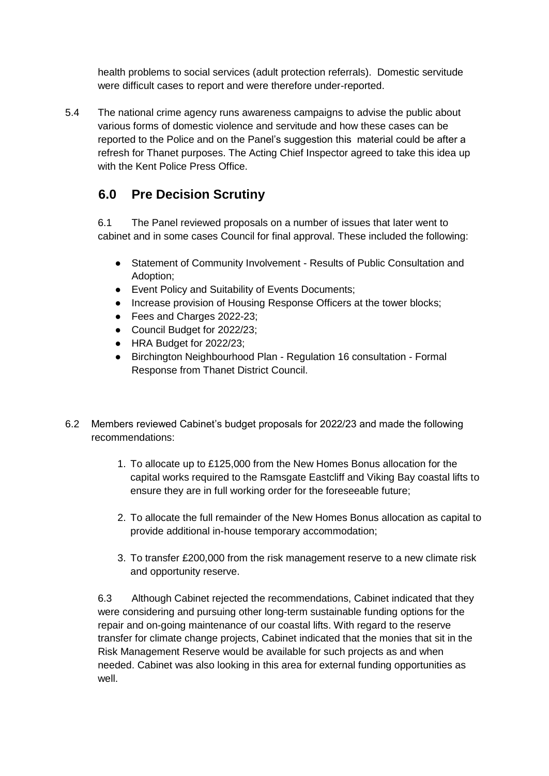health problems to social services (adult protection referrals). Domestic servitude were difficult cases to report and were therefore under-reported.

5.4 The national crime agency runs awareness campaigns to advise the public about various forms of domestic violence and servitude and how these cases can be reported to the Police and on the Panel's suggestion this material could be after a refresh for Thanet purposes. The Acting Chief Inspector agreed to take this idea up with the Kent Police Press Office.

# **6.0 Pre Decision Scrutiny**

6.1 The Panel reviewed proposals on a number of issues that later went to cabinet and in some cases Council for final approval. These included the following:

- Statement of Community Involvement Results of Public Consultation and Adoption;
- Event Policy and Suitability of Events Documents;
- Increase provision of Housing Response Officers at the tower blocks;
- Fees and Charges 2022-23;
- Council Budget for 2022/23;
- HRA Budget for 2022/23;
- Birchington Neighbourhood Plan Regulation 16 consultation Formal Response from Thanet District Council.
- 6.2 Members reviewed Cabinet's budget proposals for 2022/23 and made the following recommendations:
	- 1. To allocate up to £125,000 from the New Homes Bonus allocation for the capital works required to the Ramsgate Eastcliff and Viking Bay coastal lifts to ensure they are in full working order for the foreseeable future;
	- 2. To allocate the full remainder of the New Homes Bonus allocation as capital to provide additional in-house temporary accommodation;
	- 3. To transfer £200,000 from the risk management reserve to a new climate risk and opportunity reserve.

6.3 Although Cabinet rejected the recommendations, Cabinet indicated that they were considering and pursuing other long-term sustainable funding options for the repair and on-going maintenance of our coastal lifts. With regard to the reserve transfer for climate change projects, Cabinet indicated that the monies that sit in the Risk Management Reserve would be available for such projects as and when needed. Cabinet was also looking in this area for external funding opportunities as well.